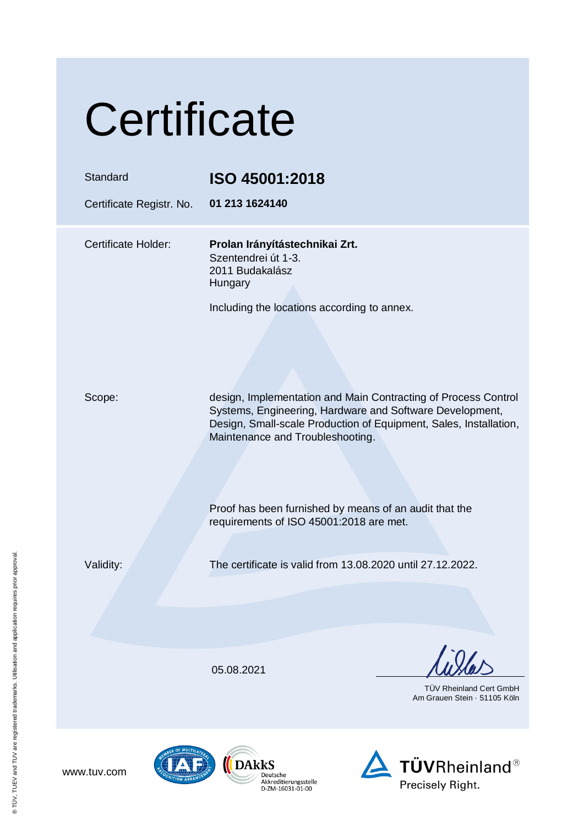# **Certificate**

| Standard<br>Certificate Registr. No. | ISO 45001:2018<br>01 213 1624140                                                                                                                                                                                                    |
|--------------------------------------|-------------------------------------------------------------------------------------------------------------------------------------------------------------------------------------------------------------------------------------|
| <b>Certificate Holder:</b>           | Prolan Irányítástechnikai Zrt.<br>Szentendrei út 1-3.<br>2011 Budakalász<br>Hungary<br>Including the locations according to annex.                                                                                                  |
|                                      |                                                                                                                                                                                                                                     |
| Scope:                               | design, Implementation and Main Contracting of Process Control<br>Systems, Engineering, Hardware and Software Development,<br>Design, Small-scale Production of Equipment, Sales, Installation,<br>Maintenance and Troubleshooting. |
|                                      | Proof has been furnished by means of an audit that the<br>requirements of ISO 45001:2018 are met.                                                                                                                                   |
| Validity:                            | The certificate is valid from 13.08.2020 until 27.12.2022.                                                                                                                                                                          |
|                                      |                                                                                                                                                                                                                                     |
|                                      | 05.08.2021<br><b>TUV Rheinland Cert GmbH</b><br>Am Grauen Stein · 51105 Köln                                                                                                                                                        |



www.tuv.com